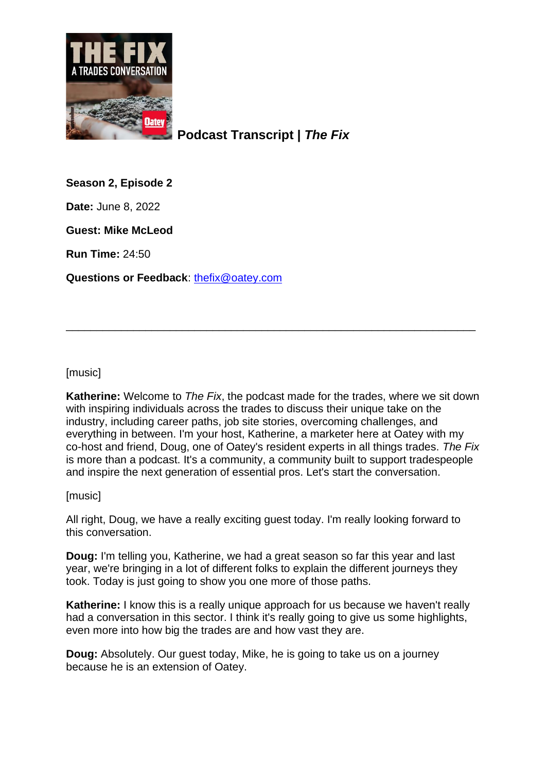

**Podcast Transcript |** *The Fix*

**Season 2, Episode 2**

**Date:** June 8, 2022

**Guest: Mike McLeod**

**Run Time:** 24:50

**Questions or Feedback**: [thefix@oatey.com](mailto:thefix@oatey.com)

[music]

**Katherine:** Welcome to *The Fix*, the podcast made for the trades, where we sit down with inspiring individuals across the trades to discuss their unique take on the industry, including career paths, job site stories, overcoming challenges, and everything in between. I'm your host, Katherine, a marketer here at Oatey with my co-host and friend, Doug, one of Oatey's resident experts in all things trades. *The Fix* is more than a podcast. It's a community, a community built to support tradespeople and inspire the next generation of essential pros. Let's start the conversation.

\_\_\_\_\_\_\_\_\_\_\_\_\_\_\_\_\_\_\_\_\_\_\_\_\_\_\_\_\_\_\_\_\_\_\_\_\_\_\_\_\_\_\_\_\_\_\_\_\_\_\_\_\_\_\_\_\_\_\_\_\_\_\_\_\_\_\_

[music]

All right, Doug, we have a really exciting guest today. I'm really looking forward to this conversation.

**Doug:** I'm telling you, Katherine, we had a great season so far this year and last year, we're bringing in a lot of different folks to explain the different journeys they took. Today is just going to show you one more of those paths.

**Katherine:** I know this is a really unique approach for us because we haven't really had a conversation in this sector. I think it's really going to give us some highlights, even more into how big the trades are and how vast they are.

**Doug:** Absolutely. Our guest today, Mike, he is going to take us on a journey because he is an extension of Oatey.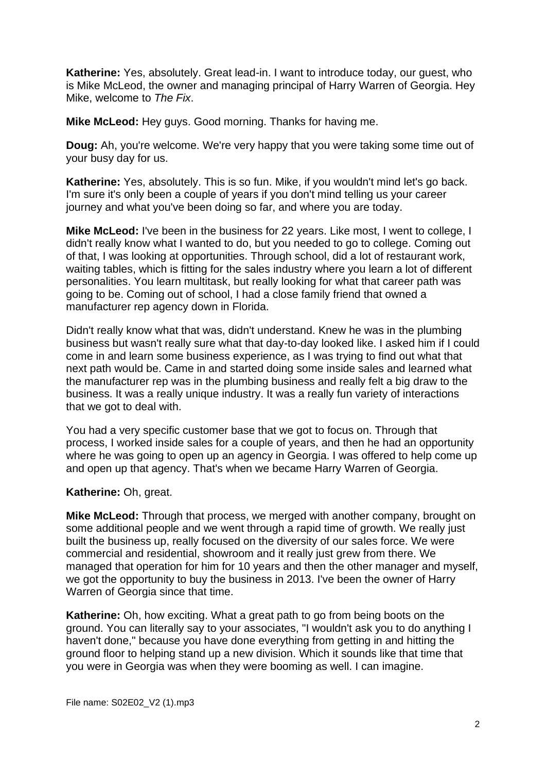**Katherine:** Yes, absolutely. Great lead-in. I want to introduce today, our guest, who is Mike McLeod, the owner and managing principal of Harry Warren of Georgia. Hey Mike, welcome to *The Fix*.

**Mike McLeod:** Hey guys. Good morning. Thanks for having me.

**Doug:** Ah, you're welcome. We're very happy that you were taking some time out of your busy day for us.

**Katherine:** Yes, absolutely. This is so fun. Mike, if you wouldn't mind let's go back. I'm sure it's only been a couple of years if you don't mind telling us your career journey and what you've been doing so far, and where you are today.

**Mike McLeod:** I've been in the business for 22 years. Like most, I went to college, I didn't really know what I wanted to do, but you needed to go to college. Coming out of that, I was looking at opportunities. Through school, did a lot of restaurant work, waiting tables, which is fitting for the sales industry where you learn a lot of different personalities. You learn multitask, but really looking for what that career path was going to be. Coming out of school, I had a close family friend that owned a manufacturer rep agency down in Florida.

Didn't really know what that was, didn't understand. Knew he was in the plumbing business but wasn't really sure what that day-to-day looked like. I asked him if I could come in and learn some business experience, as I was trying to find out what that next path would be. Came in and started doing some inside sales and learned what the manufacturer rep was in the plumbing business and really felt a big draw to the business. It was a really unique industry. It was a really fun variety of interactions that we got to deal with.

You had a very specific customer base that we got to focus on. Through that process, I worked inside sales for a couple of years, and then he had an opportunity where he was going to open up an agency in Georgia. I was offered to help come up and open up that agency. That's when we became Harry Warren of Georgia.

## **Katherine:** Oh, great.

**Mike McLeod:** Through that process, we merged with another company, brought on some additional people and we went through a rapid time of growth. We really just built the business up, really focused on the diversity of our sales force. We were commercial and residential, showroom and it really just grew from there. We managed that operation for him for 10 years and then the other manager and myself, we got the opportunity to buy the business in 2013. I've been the owner of Harry Warren of Georgia since that time.

**Katherine:** Oh, how exciting. What a great path to go from being boots on the ground. You can literally say to your associates, "I wouldn't ask you to do anything I haven't done," because you have done everything from getting in and hitting the ground floor to helping stand up a new division. Which it sounds like that time that you were in Georgia was when they were booming as well. I can imagine.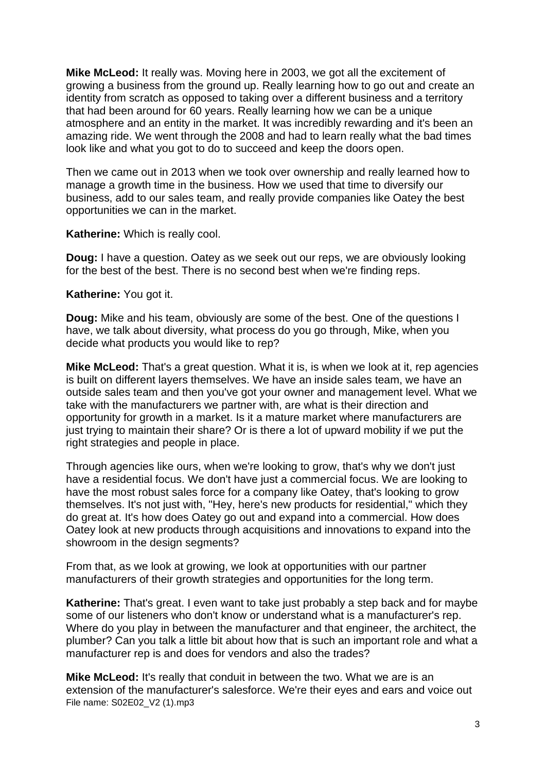**Mike McLeod:** It really was. Moving here in 2003, we got all the excitement of growing a business from the ground up. Really learning how to go out and create an identity from scratch as opposed to taking over a different business and a territory that had been around for 60 years. Really learning how we can be a unique atmosphere and an entity in the market. It was incredibly rewarding and it's been an amazing ride. We went through the 2008 and had to learn really what the bad times look like and what you got to do to succeed and keep the doors open.

Then we came out in 2013 when we took over ownership and really learned how to manage a growth time in the business. How we used that time to diversify our business, add to our sales team, and really provide companies like Oatey the best opportunities we can in the market.

**Katherine:** Which is really cool.

**Doug:** I have a question. Oatey as we seek out our reps, we are obviously looking for the best of the best. There is no second best when we're finding reps.

**Katherine:** You got it.

**Doug:** Mike and his team, obviously are some of the best. One of the questions I have, we talk about diversity, what process do you go through, Mike, when you decide what products you would like to rep?

**Mike McLeod:** That's a great question. What it is, is when we look at it, rep agencies is built on different layers themselves. We have an inside sales team, we have an outside sales team and then you've got your owner and management level. What we take with the manufacturers we partner with, are what is their direction and opportunity for growth in a market. Is it a mature market where manufacturers are just trying to maintain their share? Or is there a lot of upward mobility if we put the right strategies and people in place.

Through agencies like ours, when we're looking to grow, that's why we don't just have a residential focus. We don't have just a commercial focus. We are looking to have the most robust sales force for a company like Oatey, that's looking to grow themselves. It's not just with, "Hey, here's new products for residential," which they do great at. It's how does Oatey go out and expand into a commercial. How does Oatey look at new products through acquisitions and innovations to expand into the showroom in the design segments?

From that, as we look at growing, we look at opportunities with our partner manufacturers of their growth strategies and opportunities for the long term.

**Katherine:** That's great. I even want to take just probably a step back and for maybe some of our listeners who don't know or understand what is a manufacturer's rep. Where do you play in between the manufacturer and that engineer, the architect, the plumber? Can you talk a little bit about how that is such an important role and what a manufacturer rep is and does for vendors and also the trades?

File name: S02E02\_V2 (1).mp3 **Mike McLeod:** It's really that conduit in between the two. What we are is an extension of the manufacturer's salesforce. We're their eyes and ears and voice out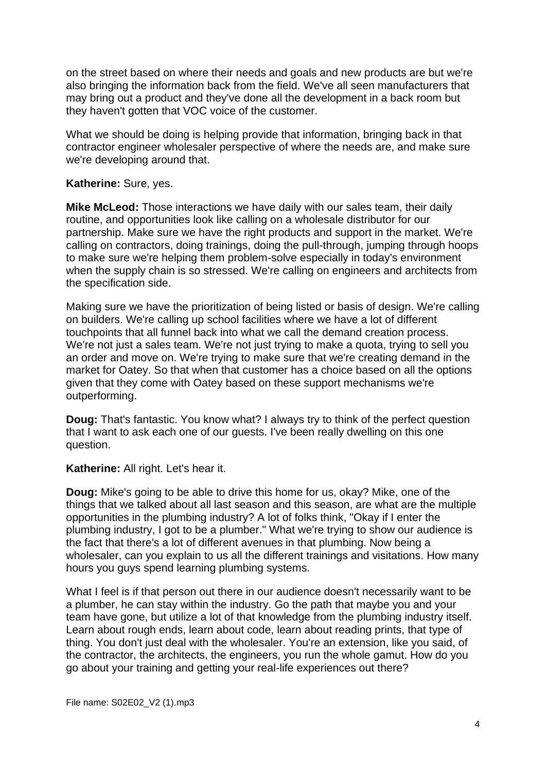on the street based on where their needs and goals and new products are but we're also bringing the information back from the field. We've all seen manufacturers that may bring out a product and they've done all the development in a back room but they haven't gotten that VOC voice of the customer.

What we should be doing is helping provide that information, bringing back in that contractor engineer wholesaler perspective of where the needs are, and make sure we're developing around that.

## **Katherine:** Sure, yes.

**Mike McLeod:** Those interactions we have daily with our sales team, their daily routine, and opportunities look like calling on a wholesale distributor for our partnership. Make sure we have the right products and support in the market. We're calling on contractors, doing trainings, doing the pull-through, jumping through hoops to make sure we're helping them problem-solve especially in today's environment when the supply chain is so stressed. We're calling on engineers and architects from the specification side.

Making sure we have the prioritization of being listed or basis of design. We're calling on builders. We're calling up school facilities where we have a lot of different touchpoints that all funnel back into what we call the demand creation process. We're not just a sales team. We're not just trying to make a quota, trying to sell you an order and move on. We're trying to make sure that we're creating demand in the market for Oatey. So that when that customer has a choice based on all the options given that they come with Oatey based on these support mechanisms we're outperforming.

**Doug:** That's fantastic. You know what? I always try to think of the perfect question that I want to ask each one of our guests. I've been really dwelling on this one question.

## **Katherine:** All right. Let's hear it.

**Doug:** Mike's going to be able to drive this home for us, okay? Mike, one of the things that we talked about all last season and this season, are what are the multiple opportunities in the plumbing industry? A lot of folks think, "Okay if I enter the plumbing industry, I got to be a plumber." What we're trying to show our audience is the fact that there's a lot of different avenues in that plumbing. Now being a wholesaler, can you explain to us all the different trainings and visitations. How many hours you guys spend learning plumbing systems.

What I feel is if that person out there in our audience doesn't necessarily want to be a plumber, he can stay within the industry. Go the path that maybe you and your team have gone, but utilize a lot of that knowledge from the plumbing industry itself. Learn about rough ends, learn about code, learn about reading prints, that type of thing. You don't just deal with the wholesaler. You're an extension, like you said, of the contractor, the architects, the engineers, you run the whole gamut. How do you go about your training and getting your real-life experiences out there?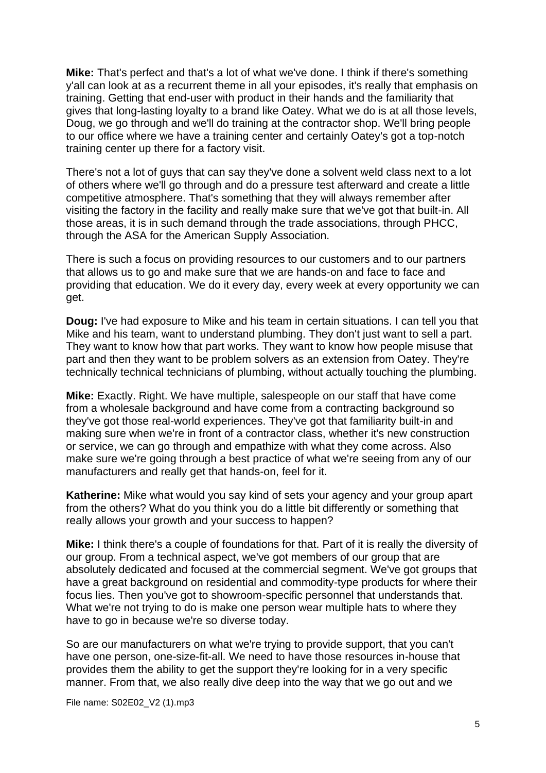**Mike:** That's perfect and that's a lot of what we've done. I think if there's something y'all can look at as a recurrent theme in all your episodes, it's really that emphasis on training. Getting that end-user with product in their hands and the familiarity that gives that long-lasting loyalty to a brand like Oatey. What we do is at all those levels, Doug, we go through and we'll do training at the contractor shop. We'll bring people to our office where we have a training center and certainly Oatey's got a top-notch training center up there for a factory visit.

There's not a lot of guys that can say they've done a solvent weld class next to a lot of others where we'll go through and do a pressure test afterward and create a little competitive atmosphere. That's something that they will always remember after visiting the factory in the facility and really make sure that we've got that built-in. All those areas, it is in such demand through the trade associations, through PHCC, through the ASA for the American Supply Association.

There is such a focus on providing resources to our customers and to our partners that allows us to go and make sure that we are hands-on and face to face and providing that education. We do it every day, every week at every opportunity we can get.

**Doug:** I've had exposure to Mike and his team in certain situations. I can tell you that Mike and his team, want to understand plumbing. They don't just want to sell a part. They want to know how that part works. They want to know how people misuse that part and then they want to be problem solvers as an extension from Oatey. They're technically technical technicians of plumbing, without actually touching the plumbing.

**Mike:** Exactly. Right. We have multiple, salespeople on our staff that have come from a wholesale background and have come from a contracting background so they've got those real-world experiences. They've got that familiarity built-in and making sure when we're in front of a contractor class, whether it's new construction or service, we can go through and empathize with what they come across. Also make sure we're going through a best practice of what we're seeing from any of our manufacturers and really get that hands-on, feel for it.

**Katherine:** Mike what would you say kind of sets your agency and your group apart from the others? What do you think you do a little bit differently or something that really allows your growth and your success to happen?

**Mike:** I think there's a couple of foundations for that. Part of it is really the diversity of our group. From a technical aspect, we've got members of our group that are absolutely dedicated and focused at the commercial segment. We've got groups that have a great background on residential and commodity-type products for where their focus lies. Then you've got to showroom-specific personnel that understands that. What we're not trying to do is make one person wear multiple hats to where they have to go in because we're so diverse today.

So are our manufacturers on what we're trying to provide support, that you can't have one person, one-size-fit-all. We need to have those resources in-house that provides them the ability to get the support they're looking for in a very specific manner. From that, we also really dive deep into the way that we go out and we

File name: S02E02\_V2 (1).mp3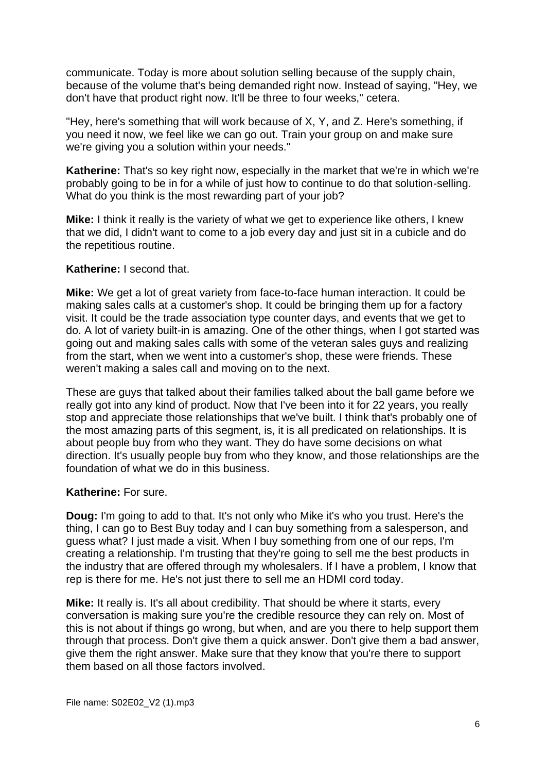communicate. Today is more about solution selling because of the supply chain, because of the volume that's being demanded right now. Instead of saying, "Hey, we don't have that product right now. It'll be three to four weeks," cetera.

"Hey, here's something that will work because of X, Y, and Z. Here's something, if you need it now, we feel like we can go out. Train your group on and make sure we're giving you a solution within your needs."

**Katherine:** That's so key right now, especially in the market that we're in which we're probably going to be in for a while of just how to continue to do that solution-selling. What do you think is the most rewarding part of your job?

**Mike:** I think it really is the variety of what we get to experience like others, I knew that we did, I didn't want to come to a job every day and just sit in a cubicle and do the repetitious routine.

## **Katherine:** I second that.

**Mike:** We get a lot of great variety from face-to-face human interaction. It could be making sales calls at a customer's shop. It could be bringing them up for a factory visit. It could be the trade association type counter days, and events that we get to do. A lot of variety built-in is amazing. One of the other things, when I got started was going out and making sales calls with some of the veteran sales guys and realizing from the start, when we went into a customer's shop, these were friends. These weren't making a sales call and moving on to the next.

These are guys that talked about their families talked about the ball game before we really got into any kind of product. Now that I've been into it for 22 years, you really stop and appreciate those relationships that we've built. I think that's probably one of the most amazing parts of this segment, is, it is all predicated on relationships. It is about people buy from who they want. They do have some decisions on what direction. It's usually people buy from who they know, and those relationships are the foundation of what we do in this business.

## **Katherine:** For sure.

**Doug:** I'm going to add to that. It's not only who Mike it's who you trust. Here's the thing, I can go to Best Buy today and I can buy something from a salesperson, and guess what? I just made a visit. When I buy something from one of our reps, I'm creating a relationship. I'm trusting that they're going to sell me the best products in the industry that are offered through my wholesalers. If I have a problem, I know that rep is there for me. He's not just there to sell me an HDMI cord today.

**Mike:** It really is. It's all about credibility. That should be where it starts, every conversation is making sure you're the credible resource they can rely on. Most of this is not about if things go wrong, but when, and are you there to help support them through that process. Don't give them a quick answer. Don't give them a bad answer, give them the right answer. Make sure that they know that you're there to support them based on all those factors involved.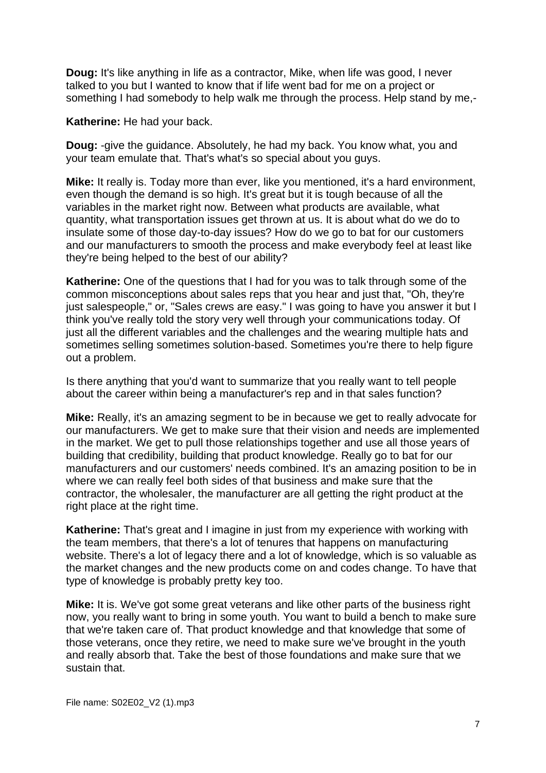**Doug:** It's like anything in life as a contractor, Mike, when life was good, I never talked to you but I wanted to know that if life went bad for me on a project or something I had somebody to help walk me through the process. Help stand by me,-

**Katherine:** He had your back.

**Doug:** -give the guidance. Absolutely, he had my back. You know what, you and your team emulate that. That's what's so special about you guys.

**Mike:** It really is. Today more than ever, like you mentioned, it's a hard environment, even though the demand is so high. It's great but it is tough because of all the variables in the market right now. Between what products are available, what quantity, what transportation issues get thrown at us. It is about what do we do to insulate some of those day-to-day issues? How do we go to bat for our customers and our manufacturers to smooth the process and make everybody feel at least like they're being helped to the best of our ability?

**Katherine:** One of the questions that I had for you was to talk through some of the common misconceptions about sales reps that you hear and just that, "Oh, they're just salespeople," or, "Sales crews are easy." I was going to have you answer it but I think you've really told the story very well through your communications today. Of just all the different variables and the challenges and the wearing multiple hats and sometimes selling sometimes solution-based. Sometimes you're there to help figure out a problem.

Is there anything that you'd want to summarize that you really want to tell people about the career within being a manufacturer's rep and in that sales function?

**Mike:** Really, it's an amazing segment to be in because we get to really advocate for our manufacturers. We get to make sure that their vision and needs are implemented in the market. We get to pull those relationships together and use all those years of building that credibility, building that product knowledge. Really go to bat for our manufacturers and our customers' needs combined. It's an amazing position to be in where we can really feel both sides of that business and make sure that the contractor, the wholesaler, the manufacturer are all getting the right product at the right place at the right time.

**Katherine:** That's great and I imagine in just from my experience with working with the team members, that there's a lot of tenures that happens on manufacturing website. There's a lot of legacy there and a lot of knowledge, which is so valuable as the market changes and the new products come on and codes change. To have that type of knowledge is probably pretty key too.

**Mike:** It is. We've got some great veterans and like other parts of the business right now, you really want to bring in some youth. You want to build a bench to make sure that we're taken care of. That product knowledge and that knowledge that some of those veterans, once they retire, we need to make sure we've brought in the youth and really absorb that. Take the best of those foundations and make sure that we sustain that.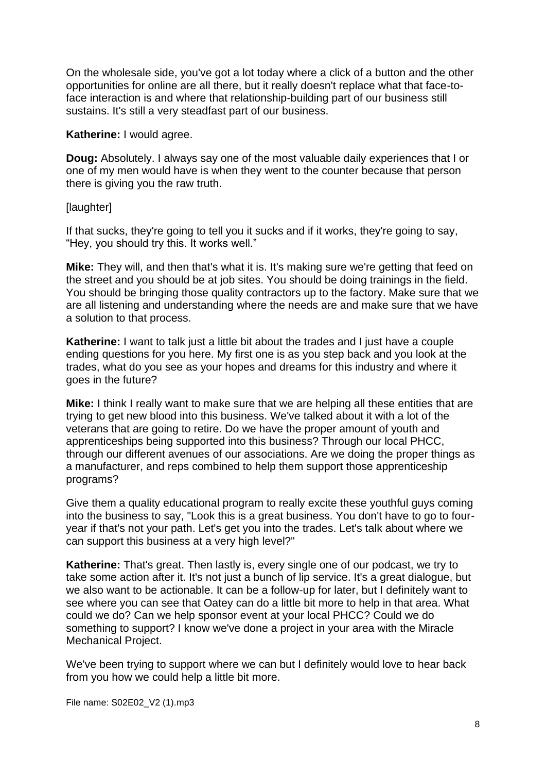On the wholesale side, you've got a lot today where a click of a button and the other opportunities for online are all there, but it really doesn't replace what that face-toface interaction is and where that relationship-building part of our business still sustains. It's still a very steadfast part of our business.

**Katherine:** I would agree.

**Doug:** Absolutely. I always say one of the most valuable daily experiences that I or one of my men would have is when they went to the counter because that person there is giving you the raw truth.

**[laughter]** 

If that sucks, they're going to tell you it sucks and if it works, they're going to say, "Hey, you should try this. It works well."

**Mike:** They will, and then that's what it is. It's making sure we're getting that feed on the street and you should be at job sites. You should be doing trainings in the field. You should be bringing those quality contractors up to the factory. Make sure that we are all listening and understanding where the needs are and make sure that we have a solution to that process.

**Katherine:** I want to talk just a little bit about the trades and I just have a couple ending questions for you here. My first one is as you step back and you look at the trades, what do you see as your hopes and dreams for this industry and where it goes in the future?

**Mike:** I think I really want to make sure that we are helping all these entities that are trying to get new blood into this business. We've talked about it with a lot of the veterans that are going to retire. Do we have the proper amount of youth and apprenticeships being supported into this business? Through our local PHCC, through our different avenues of our associations. Are we doing the proper things as a manufacturer, and reps combined to help them support those apprenticeship programs?

Give them a quality educational program to really excite these youthful guys coming into the business to say, "Look this is a great business. You don't have to go to fouryear if that's not your path. Let's get you into the trades. Let's talk about where we can support this business at a very high level?"

**Katherine:** That's great. Then lastly is, every single one of our podcast, we try to take some action after it. It's not just a bunch of lip service. It's a great dialogue, but we also want to be actionable. It can be a follow-up for later, but I definitely want to see where you can see that Oatey can do a little bit more to help in that area. What could we do? Can we help sponsor event at your local PHCC? Could we do something to support? I know we've done a project in your area with the Miracle Mechanical Project.

We've been trying to support where we can but I definitely would love to hear back from you how we could help a little bit more.